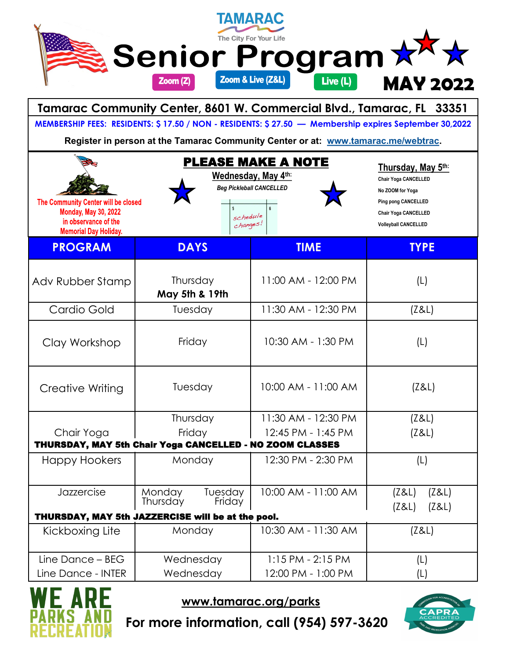|                                                                                                                            | TAMARAC<br>The City For Your Life |                                                                                                                                                                                                                                                                                                                                                                                                                                                                                                                                                                                                                                                                                                                                                                                                                                                                                                                                                                                                                                                                                                                                                                                                                                              |                 |  |
|----------------------------------------------------------------------------------------------------------------------------|-----------------------------------|----------------------------------------------------------------------------------------------------------------------------------------------------------------------------------------------------------------------------------------------------------------------------------------------------------------------------------------------------------------------------------------------------------------------------------------------------------------------------------------------------------------------------------------------------------------------------------------------------------------------------------------------------------------------------------------------------------------------------------------------------------------------------------------------------------------------------------------------------------------------------------------------------------------------------------------------------------------------------------------------------------------------------------------------------------------------------------------------------------------------------------------------------------------------------------------------------------------------------------------------|-----------------|--|
|                                                                                                                            | Zoom (Z)                          | Live $(L)$                                                                                                                                                                                                                                                                                                                                                                                                                                                                                                                                                                                                                                                                                                                                                                                                                                                                                                                                                                                                                                                                                                                                                                                                                                   | <b>MAY 2022</b> |  |
|                                                                                                                            |                                   |                                                                                                                                                                                                                                                                                                                                                                                                                                                                                                                                                                                                                                                                                                                                                                                                                                                                                                                                                                                                                                                                                                                                                                                                                                              |                 |  |
|                                                                                                                            |                                   | <b>Senior Program?</b><br>Zoom & Live (Z&L)<br>Tamarac Community Center, 8601 W. Commercial Blvd., Tamarac, FL 33351<br>MEMBERSHIP FEES: RESIDENTS: \$17.50 / NON - RESIDENTS: \$27.50 - Membership expires September 30,2022<br>Register in person at the Tamarac Community Center or at: www.tamarac.me/webtrac.<br>PLEASE MAKE A NOTE<br>Thursday, May 5th:<br>Wednesday, May 4th:<br><b>Chair Yoga CANCELLED</b><br><b>Beg Pickleball CANCELLED</b><br>No ZOOM for Yoga<br>Ping pong CANCELLED<br><b>Chair Yoga CANCELLED</b><br>schedule<br>$ch$ anges!<br><b>Volleyball CANCELLED</b><br><b>DAYS</b><br><b>TIME</b><br><b>TYPE</b><br>11:00 AM - 12:00 PM<br>Thursday<br>(L)<br>May 5th & 19th<br>11:30 AM - 12:30 PM<br>Tuesday<br>(Z&L)<br>10:30 AM - 1:30 PM<br>(L)<br>Friday<br>10:00 AM - 11:00 AM<br>Tuesday<br>(Z&L)<br>Thursday<br>11:30 AM - 12:30 PM<br>(Z&L)<br>Friday<br>12:45 PM - 1:45 PM<br>(Z&L)<br>THURSDAY, MAY 5th Chair Yoga CANCELLED - NO ZOOM CLASSES<br>12:30 PM - 2:30 PM<br>Monday<br>(L)<br>10:00 AM - 11:00 AM<br>Tuesday<br>(Z&L)<br>(Z&L)<br>Friday<br>(Z&L)<br>(Z&L)<br>THURSDAY, MAY 5th JAZZERCISE will be at the pool.<br>10:30 AM - 11:30 AM<br>Monday<br>(Z&L)<br>Wednesday<br>$1:15$ PM - 2:15 PM |                 |  |
|                                                                                                                            |                                   |                                                                                                                                                                                                                                                                                                                                                                                                                                                                                                                                                                                                                                                                                                                                                                                                                                                                                                                                                                                                                                                                                                                                                                                                                                              |                 |  |
| The Community Center will be closed<br><b>Monday, May 30, 2022</b><br>in observance of the<br><b>Memorial Day Holiday.</b> |                                   |                                                                                                                                                                                                                                                                                                                                                                                                                                                                                                                                                                                                                                                                                                                                                                                                                                                                                                                                                                                                                                                                                                                                                                                                                                              |                 |  |
| <b>PROGRAM</b>                                                                                                             |                                   |                                                                                                                                                                                                                                                                                                                                                                                                                                                                                                                                                                                                                                                                                                                                                                                                                                                                                                                                                                                                                                                                                                                                                                                                                                              |                 |  |
| Adv Rubber Stamp                                                                                                           |                                   |                                                                                                                                                                                                                                                                                                                                                                                                                                                                                                                                                                                                                                                                                                                                                                                                                                                                                                                                                                                                                                                                                                                                                                                                                                              |                 |  |
| Cardio Gold                                                                                                                |                                   |                                                                                                                                                                                                                                                                                                                                                                                                                                                                                                                                                                                                                                                                                                                                                                                                                                                                                                                                                                                                                                                                                                                                                                                                                                              |                 |  |
| Clay Workshop                                                                                                              |                                   |                                                                                                                                                                                                                                                                                                                                                                                                                                                                                                                                                                                                                                                                                                                                                                                                                                                                                                                                                                                                                                                                                                                                                                                                                                              |                 |  |
| Creative Writing                                                                                                           |                                   |                                                                                                                                                                                                                                                                                                                                                                                                                                                                                                                                                                                                                                                                                                                                                                                                                                                                                                                                                                                                                                                                                                                                                                                                                                              |                 |  |
|                                                                                                                            |                                   |                                                                                                                                                                                                                                                                                                                                                                                                                                                                                                                                                                                                                                                                                                                                                                                                                                                                                                                                                                                                                                                                                                                                                                                                                                              |                 |  |
| Chair Yoga                                                                                                                 |                                   |                                                                                                                                                                                                                                                                                                                                                                                                                                                                                                                                                                                                                                                                                                                                                                                                                                                                                                                                                                                                                                                                                                                                                                                                                                              |                 |  |
| Happy Hookers                                                                                                              |                                   |                                                                                                                                                                                                                                                                                                                                                                                                                                                                                                                                                                                                                                                                                                                                                                                                                                                                                                                                                                                                                                                                                                                                                                                                                                              |                 |  |
| Jazzercise                                                                                                                 | Monday<br>Thursday                |                                                                                                                                                                                                                                                                                                                                                                                                                                                                                                                                                                                                                                                                                                                                                                                                                                                                                                                                                                                                                                                                                                                                                                                                                                              |                 |  |
| Kickboxing Lite                                                                                                            |                                   |                                                                                                                                                                                                                                                                                                                                                                                                                                                                                                                                                                                                                                                                                                                                                                                                                                                                                                                                                                                                                                                                                                                                                                                                                                              |                 |  |
| Line Dance - BEG<br>Line Dance - INTER                                                                                     | Wednesday                         | 12:00 PM - 1:00 PM                                                                                                                                                                                                                                                                                                                                                                                                                                                                                                                                                                                                                                                                                                                                                                                                                                                                                                                                                                                                                                                                                                                                                                                                                           | (L)<br>(L)      |  |



**www.tamarac.org/parks**



**For more information, call (954) 597-3620**